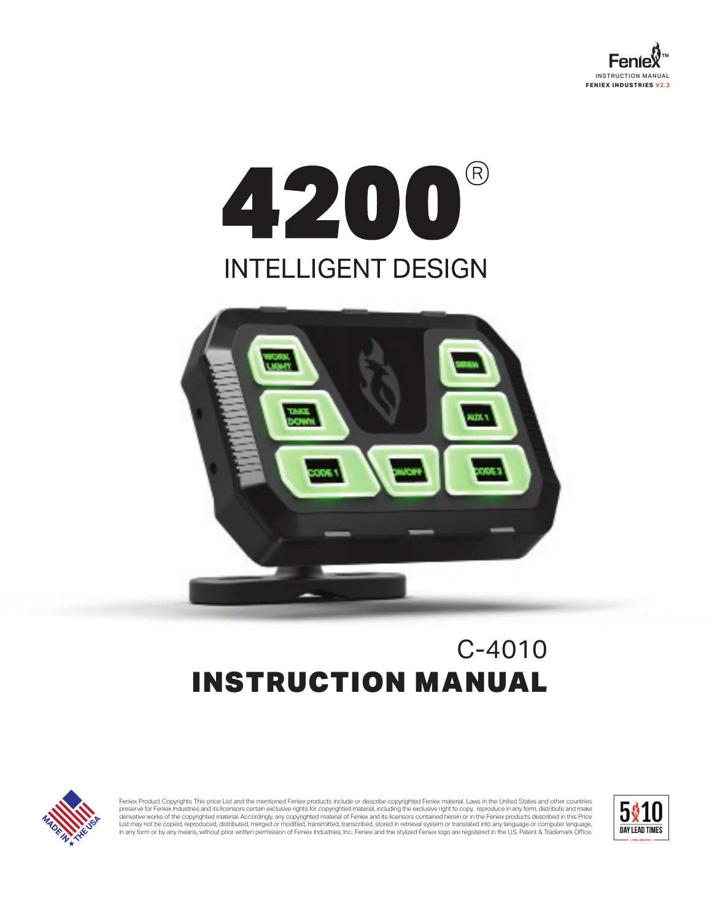

# 4200  $\bigcirc$ **INTELLIGENT DESIGN**



## C-4010 INSTRUCTION MANUAL



Feniex Product Copyrights This price List and the mentioned Feniex products include or describe copyrighted Feniex material. Laws in the United States and other countries preserve for Feniex Industries and its licensors certain exclusive nghts for copyrighted material, including the exclusive nght to copy, reproduce in any form, distribute and make<br>derivative works of the copyrighted materi in any form or by any means, without prior written permission of Feniex Industries, Inc.. Feniex and the stylized Feniex logo are registered in the U.S. Patent & Trademark Office.

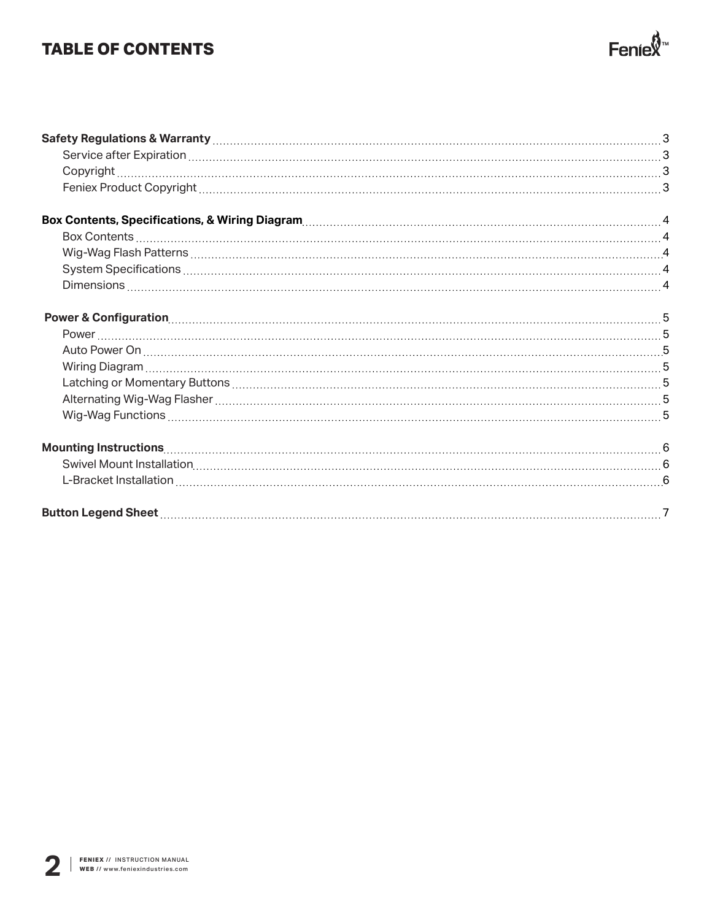## **TABLE OF CONTENTS**

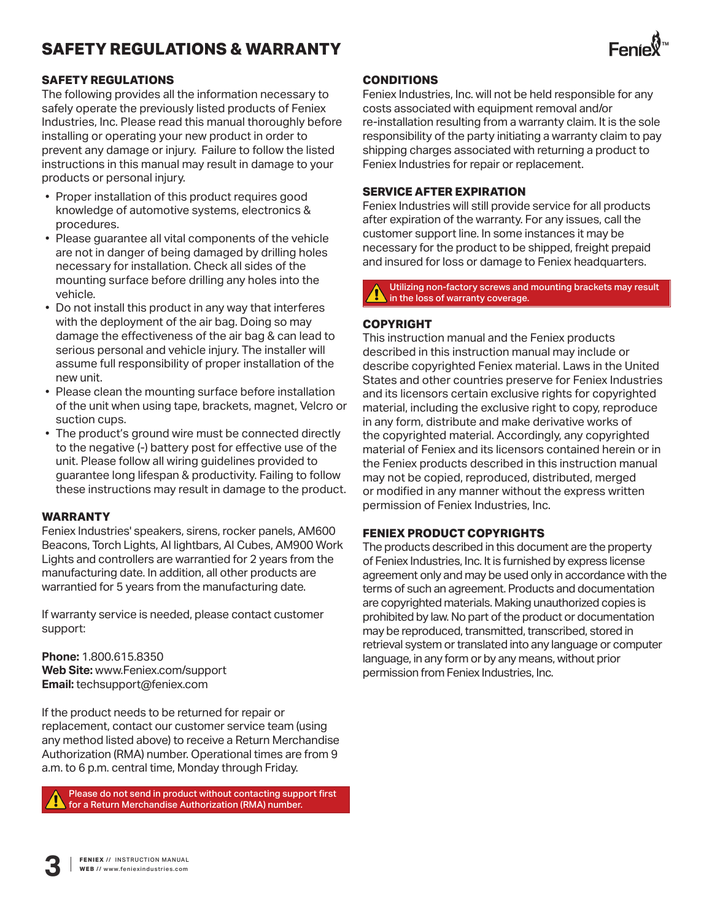## **SAFETY REGULATIONS & WARRANTY**



#### **SAFETY REGULATIONS**

The following provides all the information necessary to safely operate the previously listed products of Feniex Industries, Inc. Please read this manual thoroughly before installing or operating your new product in order to prevent any damage or injury. Failure to follow the listed instructions in this manual may result in damage to your products or personal injury.

- Proper installation of this product requires good knowledge of automotive systems, electronics & procedures.
- Please guarantee all vital components of the vehicle are not in danger of being damaged by drilling holes necessary for installation. Check all sides of the mounting surface before drilling any holes into the vehicle.
- Do not install this product in any way that interferes with the deployment of the air bag. Doing so may damage the effectiveness of the air bag & can lead to serious personal and vehicle injury. The installer will assume full responsibility of proper installation of the new unit.
- Please clean the mounting surface before installation of the unit when using tape, brackets, magnet, Velcro or suction cups.
- The product's ground wire must be connected directly to the negative (-) battery post for effective use of the unit. Please follow all wiring guidelines provided to guarantee long lifespan & productivity. Failing to follow these instructions may result in damage to the product.

#### **WARRANTY**

Feniex Industries' speakers, sirens, rocker panels, AM600 Beacons, Torch Lights, AI lightbars, AI Cubes, AM900 Work Lights and controllers are warrantied for 2 years from the manufacturing date. In addition, all other products are warrantied for 5 years from the manufacturing date.

If warranty service is needed, please contact customer support:

**Phone:** 1.800.615.8350 **Web Site:** www.Feniex.com/support **Email:** techsupport@feniex.com

If the product needs to be returned for repair or replacement, contact our customer service team (using any method listed above) to receive a Return Merchandise Authorization (RMA) number. Operational times are from 9 a.m. to 6 p.m. central time, Monday through Friday.

Please do not send in product without contacting support first for a Return Merchandise Authorization (RMA) number.

#### **CONDITIONS**

Feniex Industries, Inc. will not be held responsible for any costs associated with equipment removal and/or re-installation resulting from a warranty claim. It is the sole responsibility of the party initiating a warranty claim to pay shipping charges associated with returning a product to Feniex Industries for repair or replacement.

#### **SERVICE AFTER EXPIRATION**

Feniex Industries will still provide service for all products after expiration of the warranty. For any issues, call the customer support line. In some instances it may be necessary for the product to be shipped, freight prepaid and insured for loss or damage to Feniex headquarters.

Utilizing non-factory screws and mounting brackets may result in the loss of warranty coverage.

#### **COPYRIGHT**

This instruction manual and the Feniex products described in this instruction manual may include or describe copyrighted Feniex material. Laws in the United States and other countries preserve for Feniex Industries and its licensors certain exclusive rights for copyrighted material, including the exclusive right to copy, reproduce in any form, distribute and make derivative works of the copyrighted material. Accordingly, any copyrighted material of Feniex and its licensors contained herein or in the Feniex products described in this instruction manual may not be copied, reproduced, distributed, merged or modified in any manner without the express written permission of Feniex Industries, Inc.

#### **FENIEX PRODUCT COPYRIGHTS**

The products described in this document are the property of Feniex Industries, Inc. It is furnished by express license agreement only and may be used only in accordance with the terms of such an agreement. Products and documentation are copyrighted materials. Making unauthorized copies is prohibited by law. No part of the product or documentation may be reproduced, transmitted, transcribed, stored in retrieval system or translated into any language or computer language, in any form or by any means, without prior permission from Feniex Industries, Inc.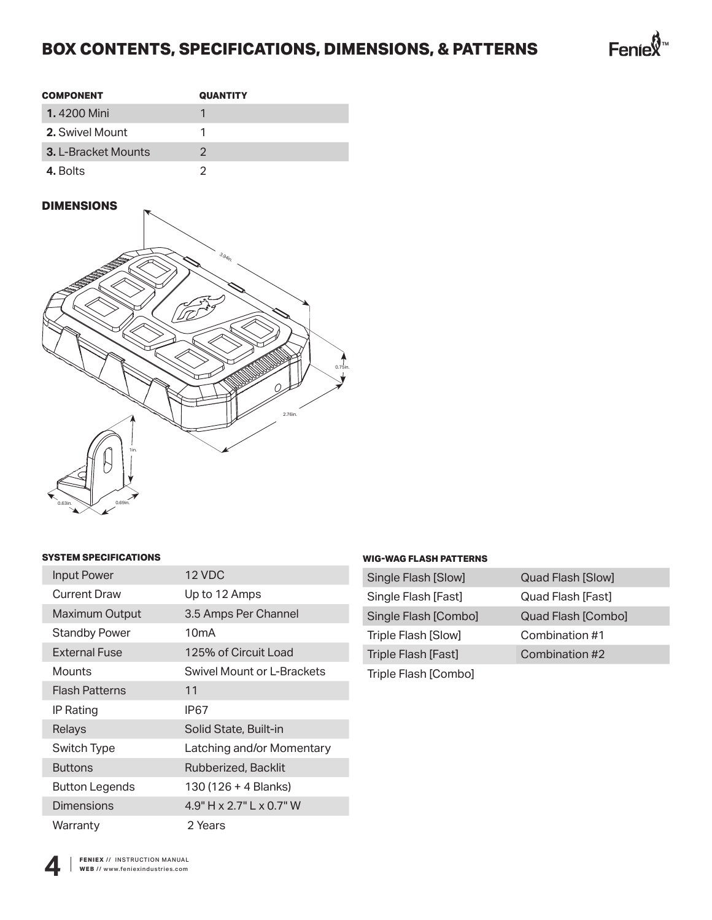## **BOX CONTENTS, SPECIFICATIONS, DIMENSIONS, & PATTERNS**



| <b>COMPONENT</b>           | <b>QUANTITY</b> |
|----------------------------|-----------------|
| <b>1.</b> 4200 Mini        |                 |
| 2. Swivel Mount            |                 |
| <b>3. L-Bracket Mounts</b> | 2               |
| 4. Bolts                   |                 |

#### **DIMENSIONS**



#### **SYSTEM SPECIFICATIONS**

| <b>Input Power</b>    | 12 VDC                     |
|-----------------------|----------------------------|
| Current Draw          | Up to 12 Amps              |
| Maximum Output        | 3.5 Amps Per Channel       |
| Standby Power         | 10 <sub>mA</sub>           |
| External Fuse         | 125% of Circuit Load       |
| Mounts                | Swivel Mount or L-Brackets |
| Flash Patterns        | 11                         |
| IP Rating             | IP67                       |
| Relays                | Solid State, Built-in      |
| Switch Type           | Latching and/or Momentary  |
| <b>Buttons</b>        | Rubberized, Backlit        |
| <b>Button Legends</b> | 130 (126 + 4 Blanks)       |
| <b>Dimensions</b>     | $4.9"$ H x 2.7" L x 0.7" W |
| Warranty              | 2 Years                    |

#### **WIG-WAG FLASH PATTERNS**

| Single Flash [Slow]  | Quad Flash [Slow]  |
|----------------------|--------------------|
| Single Flash [Fast]  | Quad Flash [Fast]  |
| Single Flash [Combo] | Quad Flash [Combo] |
| Triple Flash [Slow]  | Combination #1     |
| Triple Flash [Fast]  | Combination #2     |
| Triple Flash [Combo] |                    |

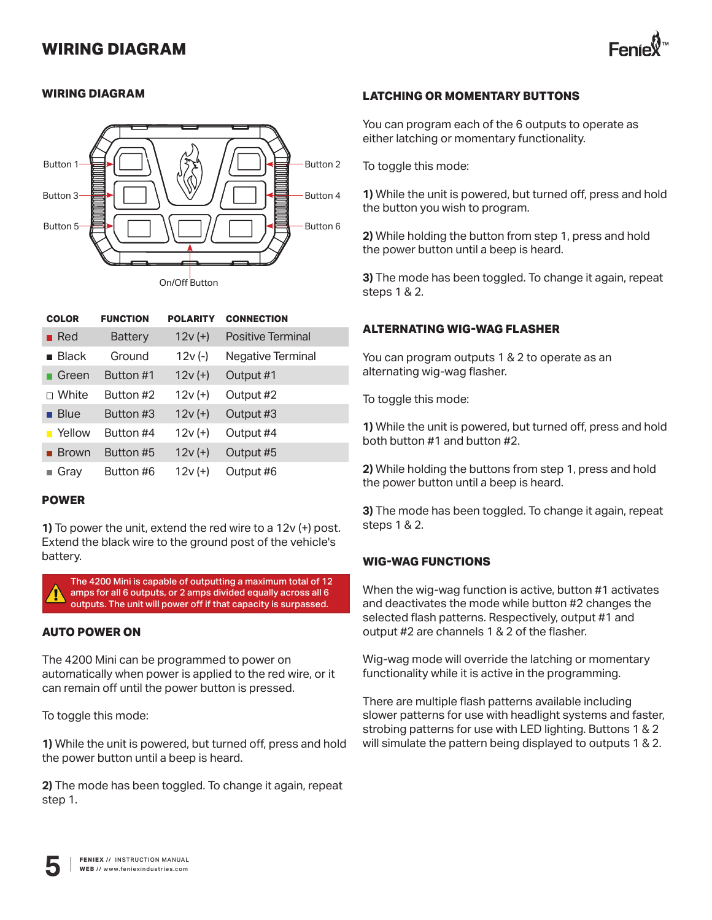### **WIRING DIAGRAM**



#### **WIRING DIAGRAM**



| <b>COLOR</b> | <b>FUNCTION</b> | <b>POLARITY</b> | <b>CONNECTION</b> |
|--------------|-----------------|-----------------|-------------------|
| Red          | <b>Battery</b>  | $12v (+)$       | Positive Terminal |
| <b>Black</b> | Ground          | $12v(-)$        | Negative Terminal |
| Green        | Button #1       | $12v (+)$       | Output #1         |
| White        | Button #2       | $12v (+)$       | Output #2         |
| <b>Blue</b>  | Button #3       | $12v (+)$       | Output #3         |
| Yellow       | Button #4       | $12v (+)$       | Output #4         |
| <b>Brown</b> | Button #5       | $12v (+)$       | Output #5         |
| Gray         | Button #6       | $12v (+)$       | Output #6         |

#### **POWER**

**1)** To power the unit, extend the red wire to a 12v (+) post. Extend the black wire to the ground post of the vehicle's battery.



#### **AUTO POWER ON**

The 4200 Mini can be programmed to power on automatically when power is applied to the red wire, or it can remain off until the power button is pressed.

To toggle this mode:

**1)** While the unit is powered, but turned off, press and hold the power button until a beep is heard.

**2)** The mode has been toggled. To change it again, repeat step 1.

#### **LATCHING OR MOMENTARY BUTTONS**

You can program each of the 6 outputs to operate as either latching or momentary functionality.

To toggle this mode:

**1)** While the unit is powered, but turned off, press and hold the button you wish to program.

**2)** While holding the button from step 1, press and hold the power button until a beep is heard.

**3)** The mode has been toggled. To change it again, repeat steps 1 & 2.

#### **ALTERNATING WIG-WAG FLASHER**

You can program outputs 1 & 2 to operate as an alternating wig-wag flasher.

To toggle this mode:

**1)** While the unit is powered, but turned off, press and hold both button #1 and button #2.

**2)** While holding the buttons from step 1, press and hold the power button until a beep is heard.

**3)** The mode has been toggled. To change it again, repeat steps 1 & 2.

#### **WIG-WAG FUNCTIONS**

When the wig-wag function is active, button #1 activates and deactivates the mode while button #2 changes the selected flash patterns. Respectively, output #1 and output #2 are channels 1 & 2 of the flasher.

Wig-wag mode will override the latching or momentary functionality while it is active in the programming.

There are multiple flash patterns available including slower patterns for use with headlight systems and faster, strobing patterns for use with LED lighting. Buttons 1 & 2 will simulate the pattern being displayed to outputs 1 & 2.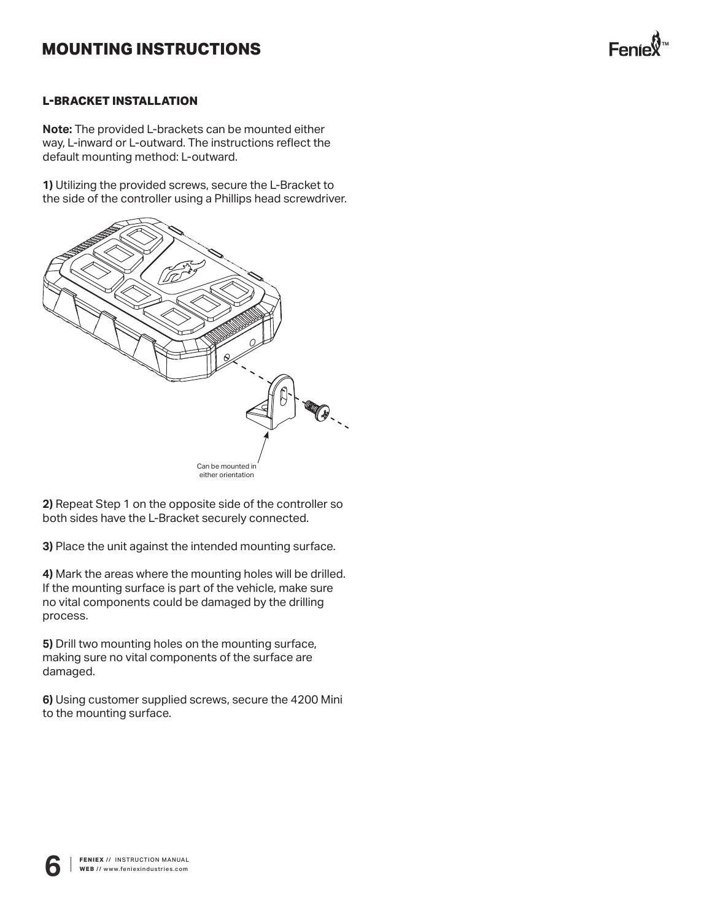## **MOUNTING INSTRUCTIONS**



#### **L-BRACKET INSTALLATION**

**Note:** The provided L-brackets can be mounted either way, L-inward or L-outward. The instructions reflect the default mounting method: L-outward.

**1)** Utilizing the provided screws, secure the L-Bracket to the side of the controller using a Phillips head screwdriver.



**2)** Repeat Step 1 on the opposite side of the controller so both sides have the L-Bracket securely connected.

**3)** Place the unit against the intended mounting surface.

**4)** Mark the areas where the mounting holes will be drilled. If the mounting surface is part of the vehicle, make sure no vital components could be damaged by the drilling process.

**5)** Drill two mounting holes on the mounting surface, making sure no vital components of the surface are damaged.

**6)** Using customer supplied screws, secure the 4200 Mini to the mounting surface.